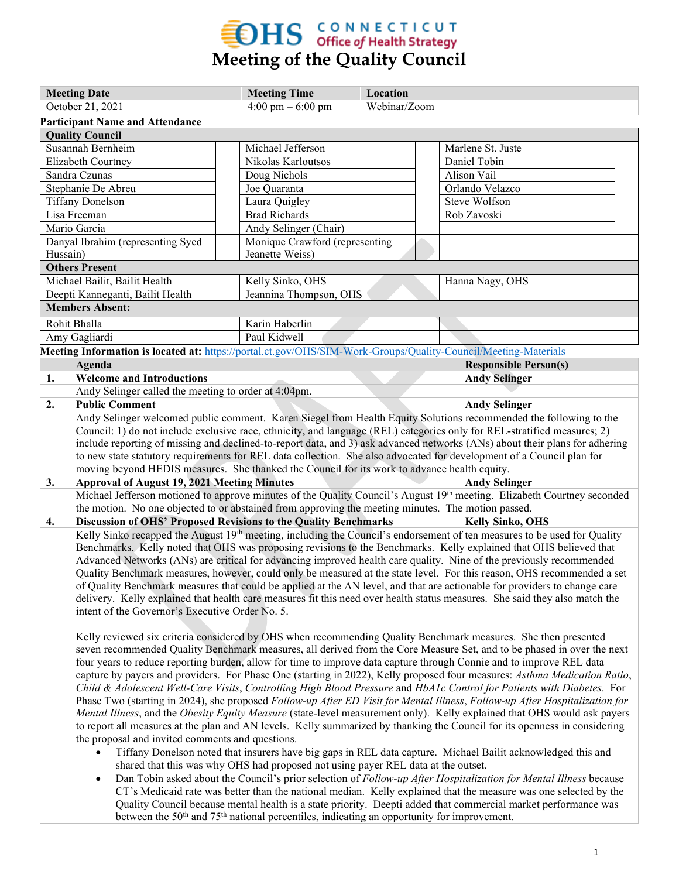## **EDHS** CONNECTICUT<br>Meeting of the Quality Council

|                         | <b>Meeting Date</b>                                                                                                         |                    | <b>Meeting Time</b>                                                               | Location |  |                                                                                                                                      |
|-------------------------|-----------------------------------------------------------------------------------------------------------------------------|--------------------|-----------------------------------------------------------------------------------|----------|--|--------------------------------------------------------------------------------------------------------------------------------------|
| October 21, 2021        |                                                                                                                             | 4:00 pm $-6:00$ pm | Webinar/Zoom                                                                      |          |  |                                                                                                                                      |
|                         | <b>Participant Name and Attendance</b>                                                                                      |                    |                                                                                   |          |  |                                                                                                                                      |
|                         | <b>Quality Council</b>                                                                                                      |                    |                                                                                   |          |  |                                                                                                                                      |
|                         | Susannah Bernheim                                                                                                           |                    | Michael Jefferson                                                                 |          |  | Marlene St. Juste                                                                                                                    |
|                         | Elizabeth Courtney                                                                                                          |                    | Nikolas Karloutsos                                                                |          |  | Daniel Tobin                                                                                                                         |
| Sandra Czunas           |                                                                                                                             |                    | Doug Nichols                                                                      |          |  | Alison Vail                                                                                                                          |
| Stephanie De Abreu      |                                                                                                                             |                    | Joe Quaranta                                                                      |          |  | Orlando Velazco                                                                                                                      |
| <b>Tiffany Donelson</b> |                                                                                                                             |                    | Laura Quigley                                                                     |          |  | Steve Wolfson                                                                                                                        |
| Lisa Freeman            |                                                                                                                             |                    | <b>Brad Richards</b>                                                              |          |  | Rob Zavoski                                                                                                                          |
|                         | Mario Garcia                                                                                                                |                    | Andy Selinger (Chair)                                                             |          |  |                                                                                                                                      |
|                         | Danyal Ibrahim (representing Syed                                                                                           |                    | Monique Crawford (representing                                                    |          |  |                                                                                                                                      |
| Hussain)                |                                                                                                                             |                    | Jeanette Weiss)                                                                   |          |  |                                                                                                                                      |
|                         | <b>Others Present</b>                                                                                                       |                    |                                                                                   |          |  |                                                                                                                                      |
|                         | Michael Bailit, Bailit Health                                                                                               |                    | Kelly Sinko, OHS                                                                  |          |  | Hanna Nagy, OHS                                                                                                                      |
|                         | Deepti Kanneganti, Bailit Health                                                                                            |                    | Jeannina Thompson, OHS                                                            |          |  |                                                                                                                                      |
|                         | <b>Members Absent:</b>                                                                                                      |                    |                                                                                   |          |  |                                                                                                                                      |
|                         | Rohit Bhalla                                                                                                                |                    | Karin Haberlin                                                                    |          |  |                                                                                                                                      |
|                         | Amy Gagliardi                                                                                                               |                    | Paul Kidwell                                                                      |          |  |                                                                                                                                      |
|                         | Meeting Information is located at: https://portal.ct.gov/OHS/SIM-Work-Groups/Quality-Council/Meeting-Materials              |                    |                                                                                   |          |  |                                                                                                                                      |
|                         | Agenda                                                                                                                      |                    |                                                                                   |          |  | <b>Responsible Person(s)</b>                                                                                                         |
| 1.                      | <b>Welcome and Introductions</b>                                                                                            |                    |                                                                                   |          |  | <b>Andy Selinger</b>                                                                                                                 |
|                         | Andy Selinger called the meeting to order at 4:04pm.                                                                        |                    |                                                                                   |          |  |                                                                                                                                      |
| 2.                      | <b>Public Comment</b>                                                                                                       |                    |                                                                                   |          |  | <b>Andy Selinger</b>                                                                                                                 |
|                         |                                                                                                                             |                    |                                                                                   |          |  | Andy Selinger welcomed public comment. Karen Siegel from Health Equity Solutions recommended the following to the                    |
|                         |                                                                                                                             |                    |                                                                                   |          |  | Council: 1) do not include exclusive race, ethnicity, and language (REL) categories only for REL-stratified measures; 2)             |
|                         |                                                                                                                             |                    |                                                                                   |          |  | include reporting of missing and declined-to-report data, and 3) ask advanced networks (ANs) about their plans for adhering          |
|                         |                                                                                                                             |                    |                                                                                   |          |  | to new state statutory requirements for REL data collection. She also advocated for development of a Council plan for                |
|                         | moving beyond HEDIS measures. She thanked the Council for its work to advance health equity.                                |                    |                                                                                   |          |  |                                                                                                                                      |
| 3.                      | <b>Approval of August 19, 2021 Meeting Minutes</b>                                                                          |                    |                                                                                   |          |  | <b>Andy Selinger</b>                                                                                                                 |
|                         |                                                                                                                             |                    |                                                                                   |          |  | Michael Jefferson motioned to approve minutes of the Quality Council's August 19 <sup>th</sup> meeting. Elizabeth Courtney seconded  |
|                         | the motion. No one objected to or abstained from approving the meeting minutes. The motion passed.                          |                    |                                                                                   |          |  |                                                                                                                                      |
| 4.                      | Discussion of OHS' Proposed Revisions to the Quality Benchmarks                                                             |                    |                                                                                   |          |  | <b>Kelly Sinko, OHS</b>                                                                                                              |
|                         |                                                                                                                             |                    |                                                                                   |          |  | Kelly Sinko recapped the August 19 <sup>th</sup> meeting, including the Council's endorsement of ten measures to be used for Quality |
|                         |                                                                                                                             |                    |                                                                                   |          |  | Benchmarks. Kelly noted that OHS was proposing revisions to the Benchmarks. Kelly explained that OHS believed that                   |
|                         |                                                                                                                             |                    |                                                                                   |          |  | Advanced Networks (ANs) are critical for advancing improved health care quality. Nine of the previously recommended                  |
|                         |                                                                                                                             |                    |                                                                                   |          |  | Quality Benchmark measures, however, could only be measured at the state level. For this reason, OHS recommended a set               |
|                         | of Quality Benchmark measures that could be applied at the AN level, and that are actionable for providers to change care   |                    |                                                                                   |          |  |                                                                                                                                      |
|                         |                                                                                                                             |                    |                                                                                   |          |  | delivery. Kelly explained that health care measures fit this need over health status measures. She said they also match the          |
|                         | intent of the Governor's Executive Order No. 5.                                                                             |                    |                                                                                   |          |  |                                                                                                                                      |
|                         |                                                                                                                             |                    |                                                                                   |          |  |                                                                                                                                      |
|                         |                                                                                                                             |                    |                                                                                   |          |  | Kelly reviewed six criteria considered by OHS when recommending Quality Benchmark measures. She then presented                       |
|                         | seven recommended Quality Benchmark measures, all derived from the Core Measure Set, and to be phased in over the next      |                    |                                                                                   |          |  |                                                                                                                                      |
|                         | four years to reduce reporting burden, allow for time to improve data capture through Connie and to improve REL data        |                    |                                                                                   |          |  |                                                                                                                                      |
|                         | capture by payers and providers. For Phase One (starting in 2022), Kelly proposed four measures: Asthma Medication Ratio,   |                    |                                                                                   |          |  |                                                                                                                                      |
|                         | Child & Adolescent Well-Care Visits, Controlling High Blood Pressure and HbA1c Control for Patients with Diabetes. For      |                    |                                                                                   |          |  |                                                                                                                                      |
|                         | Phase Two (starting in 2024), she proposed Follow-up After ED Visit for Mental Illness, Follow-up After Hospitalization for |                    |                                                                                   |          |  |                                                                                                                                      |
|                         | Mental Illness, and the Obesity Equity Measure (state-level measurement only). Kelly explained that OHS would ask payers    |                    |                                                                                   |          |  |                                                                                                                                      |
|                         | to report all measures at the plan and AN levels. Kelly summarized by thanking the Council for its openness in considering  |                    |                                                                                   |          |  |                                                                                                                                      |
|                         | the proposal and invited comments and questions.                                                                            |                    |                                                                                   |          |  |                                                                                                                                      |
|                         | $\bullet$                                                                                                                   |                    |                                                                                   |          |  | Tiffany Donelson noted that insurers have big gaps in REL data capture. Michael Bailit acknowledged this and                         |
|                         |                                                                                                                             |                    | shared that this was why OHS had proposed not using payer REL data at the outset. |          |  |                                                                                                                                      |
|                         | $\bullet$                                                                                                                   |                    |                                                                                   |          |  | Dan Tobin asked about the Council's prior selection of Follow-up After Hospitalization for Mental Illness because                    |
|                         |                                                                                                                             |                    |                                                                                   |          |  | CT's Medicaid rate was better than the national median. Kelly explained that the measure was one selected by the                     |

Quality Council because mental health is a state priority. Deepti added that commercial market performance was between the 50<sup>th</sup> and 75<sup>th</sup> national percentiles, indicating an opportunity for improvement.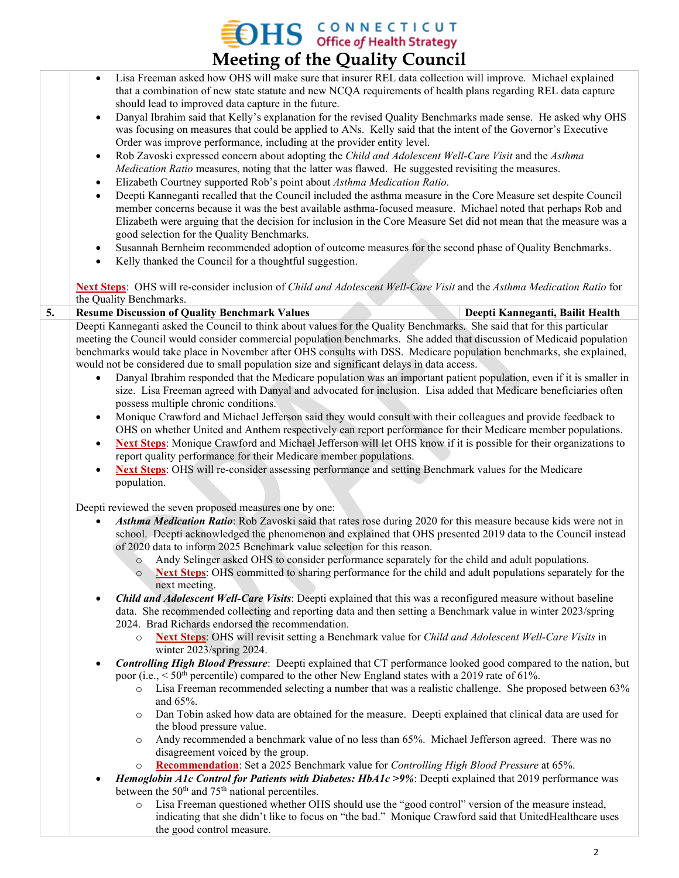## **MEETICUT**<br>Meeting of the Quality Council

|    | $\cdot$                                                                                                                                                                                                                                             |
|----|-----------------------------------------------------------------------------------------------------------------------------------------------------------------------------------------------------------------------------------------------------|
|    | Lisa Freeman asked how OHS will make sure that insurer REL data collection will improve. Michael explained<br>$\bullet$<br>that a combination of new state statute and new NCQA requirements of health plans regarding REL data capture             |
|    | should lead to improved data capture in the future.                                                                                                                                                                                                 |
|    | Danyal Ibrahim said that Kelly's explanation for the revised Quality Benchmarks made sense. He asked why OHS<br>$\bullet$<br>was focusing on measures that could be applied to ANs. Kelly said that the intent of the Governor's Executive          |
|    | Order was improve performance, including at the provider entity level.                                                                                                                                                                              |
|    | Rob Zavoski expressed concern about adopting the Child and Adolescent Well-Care Visit and the Asthma<br>$\bullet$<br>Medication Ratio measures, noting that the latter was flawed. He suggested revisiting the measures.                            |
|    | Elizabeth Courtney supported Rob's point about Asthma Medication Ratio.<br>$\bullet$                                                                                                                                                                |
|    | Deepti Kanneganti recalled that the Council included the asthma measure in the Core Measure set despite Council<br>$\bullet$                                                                                                                        |
|    | member concerns because it was the best available asthma-focused measure. Michael noted that perhaps Rob and                                                                                                                                        |
|    | Elizabeth were arguing that the decision for inclusion in the Core Measure Set did not mean that the measure was a                                                                                                                                  |
|    | good selection for the Quality Benchmarks.                                                                                                                                                                                                          |
|    | Susannah Bernheim recommended adoption of outcome measures for the second phase of Quality Benchmarks.<br>$\bullet$<br>Kelly thanked the Council for a thoughtful suggestion.<br>$\bullet$                                                          |
|    | Next Steps: OHS will re-consider inclusion of Child and Adolescent Well-Care Visit and the Asthma Medication Ratio for                                                                                                                              |
|    | the Quality Benchmarks.                                                                                                                                                                                                                             |
| 5. | <b>Resume Discussion of Quality Benchmark Values</b><br>Deepti Kanneganti, Bailit Health                                                                                                                                                            |
|    | Deepti Kanneganti asked the Council to think about values for the Quality Benchmarks. She said that for this particular                                                                                                                             |
|    | meeting the Council would consider commercial population benchmarks. She added that discussion of Medicaid population                                                                                                                               |
|    | benchmarks would take place in November after OHS consults with DSS. Medicare population benchmarks, she explained,                                                                                                                                 |
|    | would not be considered due to small population size and significant delays in data access.                                                                                                                                                         |
|    | Danyal Ibrahim responded that the Medicare population was an important patient population, even if it is smaller in<br>$\bullet$<br>size. Lisa Freeman agreed with Danyal and advocated for inclusion. Lisa added that Medicare beneficiaries often |
|    | possess multiple chronic conditions.<br>Monique Crawford and Michael Jefferson said they would consult with their colleagues and provide feedback to<br>$\bullet$                                                                                   |
|    | OHS on whether United and Anthem respectively can report performance for their Medicare member populations.                                                                                                                                         |
|    | Next Steps: Monique Crawford and Michael Jefferson will let OHS know if it is possible for their organizations to<br>$\bullet$                                                                                                                      |
|    | report quality performance for their Medicare member populations.                                                                                                                                                                                   |
|    | Next Steps: OHS will re-consider assessing performance and setting Benchmark values for the Medicare<br>$\bullet$                                                                                                                                   |
|    | population.                                                                                                                                                                                                                                         |
|    |                                                                                                                                                                                                                                                     |
|    | Deepti reviewed the seven proposed measures one by one:<br>Asthma Medication Ratio: Rob Zavoski said that rates rose during 2020 for this measure because kids were not in                                                                          |
|    | school. Deepti acknowledged the phenomenon and explained that OHS presented 2019 data to the Council instead                                                                                                                                        |
|    | of 2020 data to inform 2025 Benchmark value selection for this reason.                                                                                                                                                                              |
|    | Andy Selinger asked OHS to consider performance separately for the child and adult populations.<br>$\circ$                                                                                                                                          |
|    | Next Steps: OHS committed to sharing performance for the child and adult populations separately for the<br>$\circ$<br>next meeting.                                                                                                                 |
|    | Child and Adolescent Well-Care Visits: Deepti explained that this was a reconfigured measure without baseline<br>$\bullet$                                                                                                                          |
|    | data. She recommended collecting and reporting data and then setting a Benchmark value in winter 2023/spring<br>2024. Brad Richards endorsed the recommendation.                                                                                    |
|    | Next Steps: OHS will revisit setting a Benchmark value for Child and Adolescent Well-Care Visits in<br>$\circ$<br>winter 2023/spring 2024.                                                                                                          |
|    | Controlling High Blood Pressure: Deepti explained that CT performance looked good compared to the nation, but<br>$\bullet$                                                                                                                          |
|    | poor (i.e., $\leq 50$ <sup>th</sup> percentile) compared to the other New England states with a 2019 rate of 61%.                                                                                                                                   |
|    | Lisa Freeman recommended selecting a number that was a realistic challenge. She proposed between 63%<br>$\circ$<br>and 65%.                                                                                                                         |
|    | Dan Tobin asked how data are obtained for the measure. Deepti explained that clinical data are used for<br>$\circ$<br>the blood pressure value.                                                                                                     |
|    | Andy recommended a benchmark value of no less than 65%. Michael Jefferson agreed. There was no<br>$\circ$                                                                                                                                           |
|    | disagreement voiced by the group.                                                                                                                                                                                                                   |
|    | Recommendation: Set a 2025 Benchmark value for Controlling High Blood Pressure at 65%.<br>$\circ$                                                                                                                                                   |
|    | Hemoglobin A1c Control for Patients with Diabetes: HbA1c >9%: Deepti explained that 2019 performance was<br>between the 50 <sup>th</sup> and 75 <sup>th</sup> national percentiles.                                                                 |
|    | Lisa Freeman questioned whether OHS should use the "good control" version of the measure instead,<br>$\circ$                                                                                                                                        |
|    | indicating that she didn't like to focus on "the bad." Monique Crawford said that UnitedHealthcare uses                                                                                                                                             |
|    | the good control measure.                                                                                                                                                                                                                           |